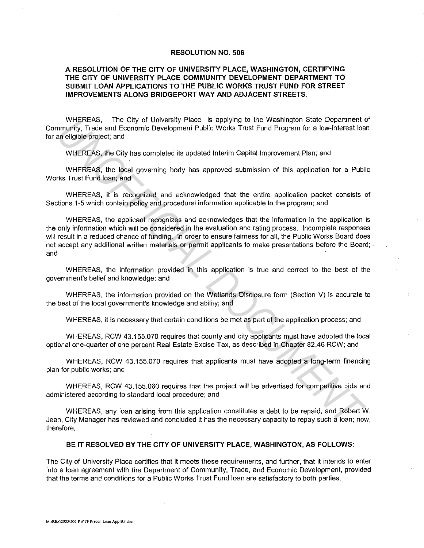## **RESOLUTION NO. 506**

## **A RESOLUTION OF THE CITY OF UNIVERSITY PLACE, WASHINGTON, CERTIFYING THE CITY OF UNIVERSITY PLACE COMMUNITY DEVELOPMENT DEPARTMENT TO SUBMIT LOAN APPLICATIONS TO THE PUBLIC WORKS TRUST FUND FOR STREET IMPROVEMENTS ALONG BRIDGEPORT WAY AND ADJACENT STREETS.**

WHEREAS, The City of University Place is applying to the Washington State Department of Community, Trade and Economic Development Public Works Trust Fund Program for a low-interest loan for an eligible project; and

WHEREAS, the City has completed its updated Interim Capital Improvement Plan; and

WHEREAS, the local governing body has approved submission of this application for a Public Works Trust Fund loan; and

WHEREAS, it is recognized and acknowledged that the entire application packet consists of Sections 1-5 which contain policy and procedural information applicable to the program; and

WHEREAS, the applicant recognizes and acknowledges that the information in the application is the only information which will be considered in the evaluation and rating process. Incomplete responses will result in a reduced chance of funding. In order to ensure fairness for all, the Public Works Board does not accept any additional written materials or permit applicants to make presentations before the Board; and WHEREAS, the Gitty of University Place is applying to the Washington State Department<br>
mmunity, Trade and Economic Development Public Works Trust Fund Program for a low-Interest load<br>
WHEREAS, the Gitty has completed its u

WHEREAS, the information provided in this application is true and correct to the best of the government's belief and knowledge; and

WHEREAS, the information provided on the Wetlands Disclosure form (Section V) is accurate to the best of the local government's knowledge and ability; and

WHEREAS, it is necessary that certain conditions be met as part of the application process; and

WHEREAS, RCW 43.155.070 requires that county and city applicants must have adopted the local optional one-quarter of one percent Real Estate Excise Tax, as described in Chapter 82.46 RCW; and

WHEREAS, RCW 43.155.070 requires that applicants must have adopted a long-term financing plan for public works; and

WHEREAS, RCW 43.155.060 requires that the project will be advertised for competitive bids and administered according to standard local procedure; and

WHEREAS, any loan arising from this application constitutes a debt to be repaid, and Robert W. Jean, City Manager has reviewed and concluded it has the necessary capacity to repay such a loan; now, therefore,

## **BE IT RESOLVED BY THE CITY OF UNIVERSITY PLACE, WASHINGTON, AS FOLLOWS:**

The City of University Place certifies that it meets these requirements, and further, that it intends to enter into a loan agreement with the Department of Community, Trade, and Economic Development, provided that the terms and conditions for a Public Works Trust Fund loan are satisfactory to both parties.